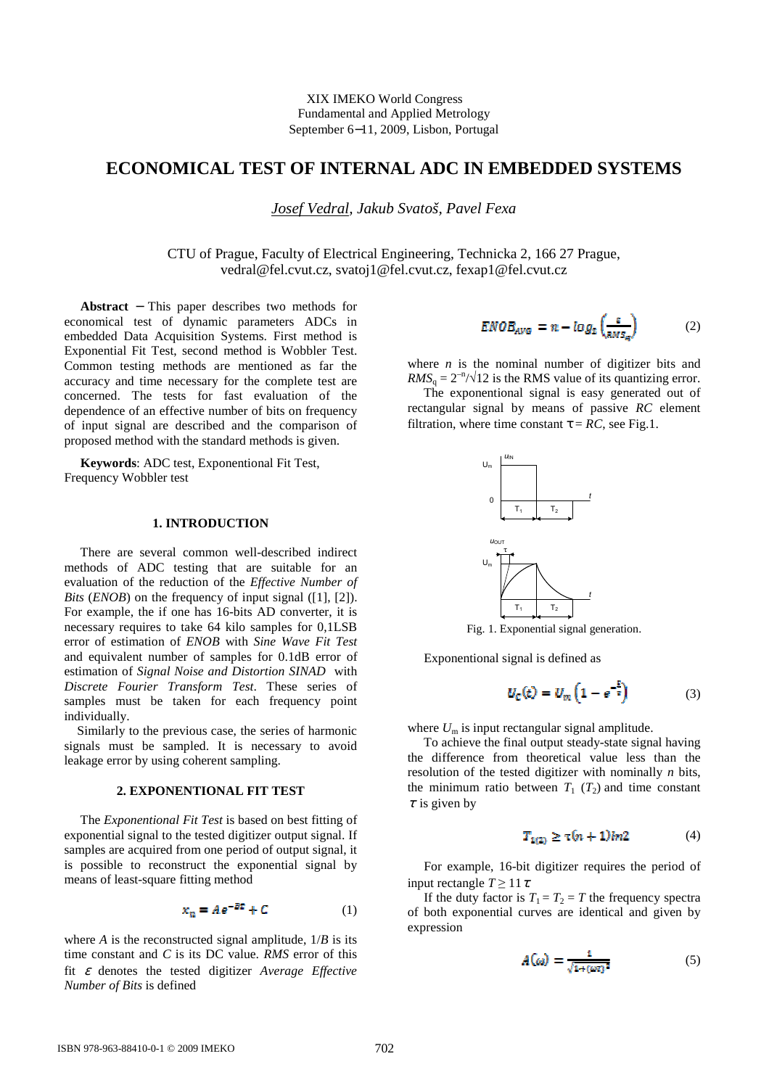# **ECONOMICAL TEST OF INTERNAL ADC IN EMBEDDED SYSTEMS**

*Josef Vedral, Jakub Svatoš, Pavel Fexa* 

CTU of Prague, Faculty of Electrical Engineering, Technicka 2, 166 27 Prague, vedral@fel.cvut.cz, svatoj1@fel.cvut.cz, fexap1@fel.cvut.cz

 **Abstract** − This paper describes two methods for economical test of dynamic parameters ADCs in embedded Data Acquisition Systems. First method is Exponential Fit Test, second method is Wobbler Test. Common testing methods are mentioned as far the accuracy and time necessary for the complete test are concerned. The tests for fast evaluation of the dependence of an effective number of bits on frequency of input signal are described and the comparison of proposed method with the standard methods is given.

 **Keywords**: ADC test, Exponentional Fit Test, Frequency Wobbler test

#### **1. INTRODUCTION**

 There are several common well-described indirect methods of ADC testing that are suitable for an evaluation of the reduction of the *Effective Number of Bits* (*ENOB*) on the frequency of input signal ([1], [2]). For example, the if one has 16-bits AD converter, it is necessary requires to take 64 kilo samples for 0,1LSB error of estimation of *ENOB* with *Sine Wave Fit Test* and equivalent number of samples for 0.1dB error of estimation of *Signal Noise and Distortion SINAD* with *Discrete Fourier Transform Test*. These series of samples must be taken for each frequency point individually.

 Similarly to the previous case, the series of harmonic signals must be sampled. It is necessary to avoid leakage error by using coherent sampling.

#### **2. EXPONENTIONAL FIT TEST**

 The *Exponentional Fit Test* is based on best fitting of exponential signal to the tested digitizer output signal. If samples are acquired from one period of output signal, it is possible to reconstruct the exponential signal by means of least-square fitting method

$$
x_n = Ae^{-BE} + C \tag{1}
$$

where  $A$  is the reconstructed signal amplitude,  $1/B$  is its time constant and *C* is its DC value. *RMS* error of this fit ε denotes the tested digitizer *Average Effective Number of Bits* is defined

$$
ENOB_{AVG} = n - log_2\left(\frac{\varepsilon}{\text{RMS}_q}\right) \tag{2}
$$

where  $n$  is the nominal number of digitizer bits and  $RMS<sub>q</sub> = 2<sup>-n</sup>/\sqrt{12}$  is the RMS value of its quantizing error.

 The exponentional signal is easy generated out of rectangular signal by means of passive *RC* element filtration, where time constant  $\tau = RC$ , see Fig.1.



Fig. 1. Exponential signal generation.

Exponentional signal is defined as

$$
U_{\rm C}(t) = U_{\rm m} \left( 1 - e^{-\frac{t}{\tau}} \right) \tag{3}
$$

where  $U_m$  is input rectangular signal amplitude.

 To achieve the final output steady-state signal having the difference from theoretical value less than the resolution of the tested digitizer with nominally *n* bits, the minimum ratio between  $T_1$  ( $T_2$ ) and time constant  $\tau$  is given by

$$
T_{1(2)} \ge \tau (n+1) \ln 2 \tag{4}
$$

 For example, 16-bit digitizer requires the period of input rectangle  $T \geq 11 \tau$ .

If the duty factor is  $T_1 = T_2 = T$  the frequency spectra of both exponential curves are identical and given by expression

$$
A(\omega) = \frac{1}{\sqrt{1 + (\omega \tau)^2}}\tag{5}
$$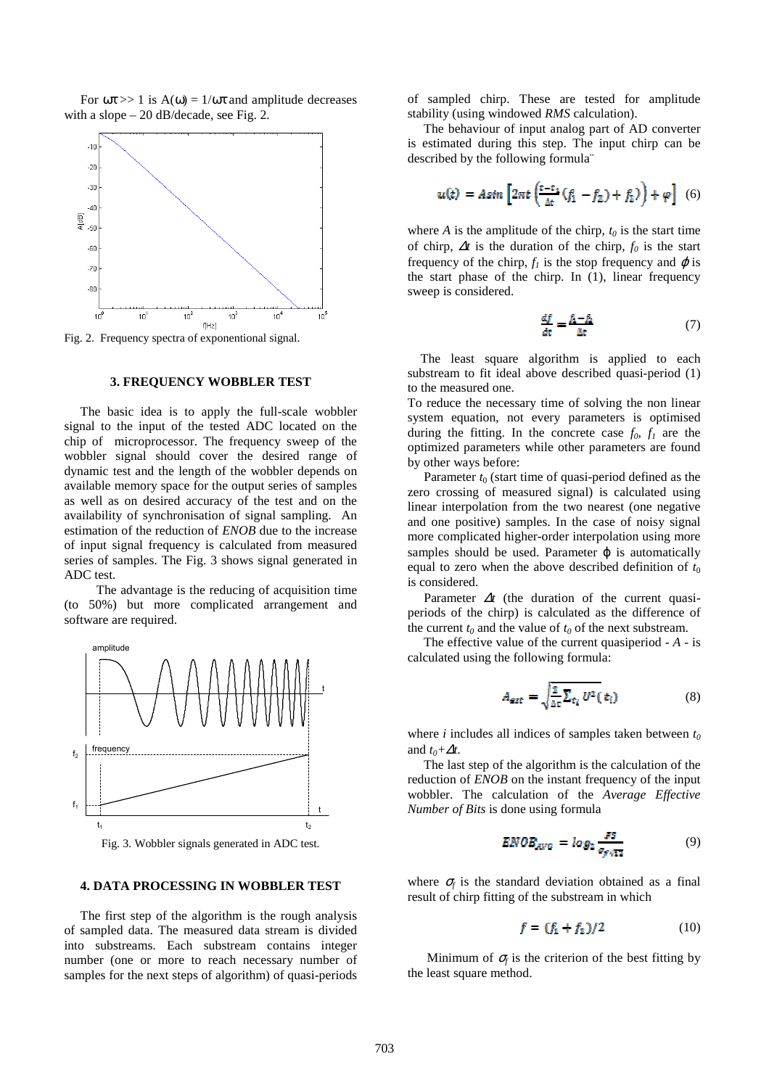For  $\omega \tau >> 1$  is  $A(\omega) = 1/\omega \tau$  and amplitude decreases with a slope – 20 dB/decade, see Fig. 2.



Fig. 2. Frequency spectra of exponentional signal.

#### **3. FREQUENCY WOBBLER TEST**

 The basic idea is to apply the full-scale wobbler signal to the input of the tested ADC located on the chip of microprocessor. The frequency sweep of the wobbler signal should cover the desired range of dynamic test and the length of the wobbler depends on available memory space for the output series of samples as well as on desired accuracy of the test and on the availability of synchronisation of signal sampling. An estimation of the reduction of *ENOB* due to the increase of input signal frequency is calculated from measured series of samples. The Fig. 3 shows signal generated in ADC test.

 The advantage is the reducing of acquisition time (to 50%) but more complicated arrangement and software are required.



Fig. 3. Wobbler signals generated in ADC test.

### **4. DATA PROCESSING IN WOBBLER TEST**

 The first step of the algorithm is the rough analysis of sampled data. The measured data stream is divided into substreams. Each substream contains integer number (one or more to reach necessary number of samples for the next steps of algorithm) of quasi-periods

of sampled chirp. These are tested for amplitude stability (using windowed *RMS* calculation).

 The behaviour of input analog part of AD converter is estimated during this step. The input chirp can be described by the following formula¨

$$
u(t) = Asin \left[2\pi t \left(\frac{t-t_1}{\Delta t}(f_1 - f_2) + f_2\right)\right] + \varphi\right] \tag{6}
$$

where *A* is the amplitude of the chirp,  $t_0$  is the start time of chirp, ∆*t* is the duration of the chirp, *f0* is the start frequency of the chirp,  $f_l$  is the stop frequency and  $\varphi$  is the start phase of the chirp. In (1), linear frequency sweep is considered.

$$
\frac{df}{dt} = \frac{f_1 - f_2}{\Delta t} \tag{7}
$$

 The least square algorithm is applied to each substream to fit ideal above described quasi-period (1) to the measured one.

To reduce the necessary time of solving the non linear system equation, not every parameters is optimised during the fitting. In the concrete case  $f_0$ ,  $f_1$  are the optimized parameters while other parameters are found by other ways before:

Parameter  $t_0$  (start time of quasi-period defined as the zero crossing of measured signal) is calculated using linear interpolation from the two nearest (one negative and one positive) samples. In the case of noisy signal more complicated higher-order interpolation using more samples should be used. Parameter  $\varphi$  is automatically equal to zero when the above described definition of  $t_0$ is considered.

Parameter  $\Delta t$  (the duration of the current quasiperiods of the chirp) is calculated as the difference of the current  $t_0$  and the value of  $t_0$  of the next substream.

 The effective value of the current quasiperiod - *A* - is calculated using the following formula:

$$
A_{\text{ext}} = \sqrt{\frac{2}{\Delta z} \sum_{\mathfrak{r}_i} U^2(\mathfrak{r}_i)}\tag{8}
$$

where *i* includes all indices of samples taken between *t<sup>0</sup>* and  $t_0 + \Delta t$ .

 The last step of the algorithm is the calculation of the reduction of *ENOB* on the instant frequency of the input wobbler. The calculation of the *Average Effective Number of Bits* is done using formula

$$
END_{AVG} = \log_2 \frac{FS}{\sigma_{f\sqrt{12}}} \tag{9}
$$

where  $\sigma_f$  is the standard deviation obtained as a final result of chirp fitting of the substream in which

$$
f = (f_1 + f_2)/2 \tag{10}
$$

Minimum of  $\sigma_f$  is the criterion of the best fitting by the least square method.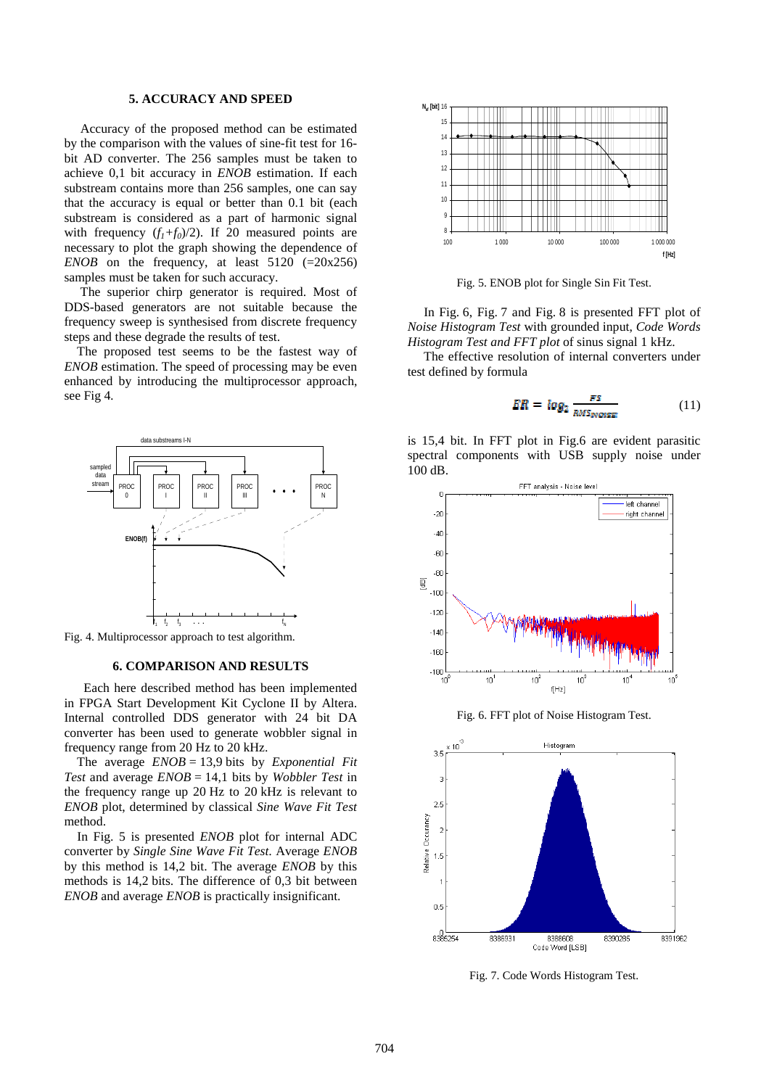#### **5. ACCURACY AND SPEED**

 Accuracy of the proposed method can be estimated by the comparison with the values of sine-fit test for 16 bit AD converter. The 256 samples must be taken to achieve 0,1 bit accuracy in *ENOB* estimation. If each substream contains more than 256 samples, one can say that the accuracy is equal or better than 0.1 bit (each substream is considered as a part of harmonic signal with frequency  $(f_1+f_0)/2$ ). If 20 measured points are necessary to plot the graph showing the dependence of *ENOB* on the frequency, at least  $5120$  (=20x256) samples must be taken for such accuracy.

 The superior chirp generator is required. Most of DDS-based generators are not suitable because the frequency sweep is synthesised from discrete frequency steps and these degrade the results of test.

 The proposed test seems to be the fastest way of *ENOB* estimation. The speed of processing may be even enhanced by introducing the multiprocessor approach, see Fig 4*.* 



Fig. 4. Multiprocessor approach to test algorithm.

#### **6. COMPARISON AND RESULTS**

 Each here described method has been implemented in FPGA Start Development Kit Cyclone II by Altera. Internal controlled DDS generator with 24 bit DA converter has been used to generate wobbler signal in frequency range from 20 Hz to 20 kHz.

 The average *ENOB* = 13,9 bits by *Exponential Fit Test* and average *ENOB* = 14,1 bits by *Wobbler Test* in the frequency range up 20 Hz to 20 kHz is relevant to *ENOB* plot, determined by classical *Sine Wave Fit Test* method.

 In Fig. 5 is presented *ENOB* plot for internal ADC converter by *Single Sine Wave Fit Test*. Average *ENOB*  by this method is 14,2 bit. The average *ENOB* by this methods is 14,2 bits. The difference of 0,3 bit between *ENOB* and average *ENOB* is practically insignificant.



Fig. 5. ENOB plot for Single Sin Fit Test.

 In Fig. 6, Fig. 7 and Fig. 8 is presented FFT plot of *Noise Histogram Test* with grounded input, *Code Words Histogram Test and FFT plot* of sinus signal 1 kHz.

 The effective resolution of internal converters under test defined by formula

$$
ER = log_2 \frac{PS}{RMS_{NOSSE}}
$$
 (11)

is 15,4 bit. In FFT plot in Fig.6 are evident parasitic spectral components with USB supply noise under 100 dB.



Fig. 6. FFT plot of Noise Histogram Test.



Fig. 7. Code Words Histogram Test.